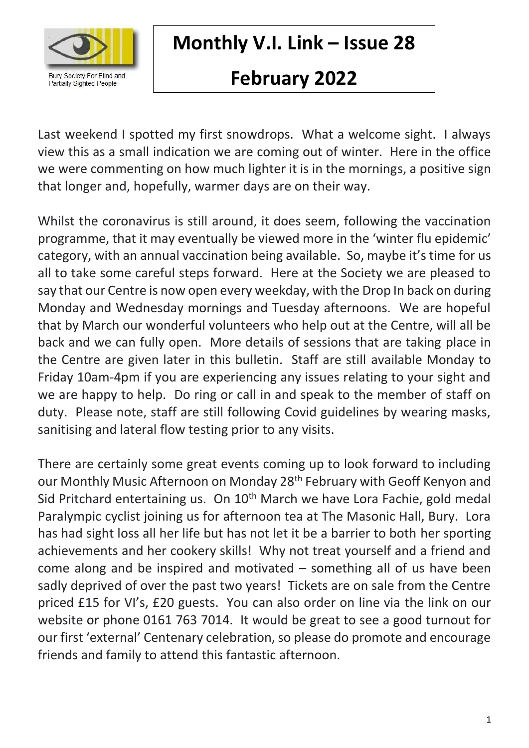

**Monthly V.I. Link – Issue 28**

# **February 2022**

Last weekend I spotted my first snowdrops. What a welcome sight. I always view this as a small indication we are coming out of winter. Here in the office we were commenting on how much lighter it is in the mornings, a positive sign that longer and, hopefully, warmer days are on their way.

Whilst the coronavirus is still around, it does seem, following the vaccination programme, that it may eventually be viewed more in the 'winter flu epidemic' category, with an annual vaccination being available. So, maybe it's time for us all to take some careful steps forward. Here at the Society we are pleased to say that our Centre is now open every weekday, with the Drop In back on during Monday and Wednesday mornings and Tuesday afternoons. We are hopeful that by March our wonderful volunteers who help out at the Centre, will all be back and we can fully open. More details of sessions that are taking place in the Centre are given later in this bulletin. Staff are still available Monday to Friday 10am-4pm if you are experiencing any issues relating to your sight and we are happy to help. Do ring or call in and speak to the member of staff on duty. Please note, staff are still following Covid guidelines by wearing masks, sanitising and lateral flow testing prior to any visits.

There are certainly some great events coming up to look forward to including our Monthly Music Afternoon on Monday 28<sup>th</sup> February with Geoff Kenyon and Sid Pritchard entertaining us. On 10<sup>th</sup> March we have Lora Fachie, gold medal Paralympic cyclist joining us for afternoon tea at The Masonic Hall, Bury. Lora has had sight loss all her life but has not let it be a barrier to both her sporting achievements and her cookery skills! Why not treat yourself and a friend and come along and be inspired and motivated – something all of us have been sadly deprived of over the past two years! Tickets are on sale from the Centre priced £15 for VI's, £20 guests. You can also order on line via the link on our website or phone 0161 763 7014. It would be great to see a good turnout for our first 'external' Centenary celebration, so please do promote and encourage friends and family to attend this fantastic afternoon.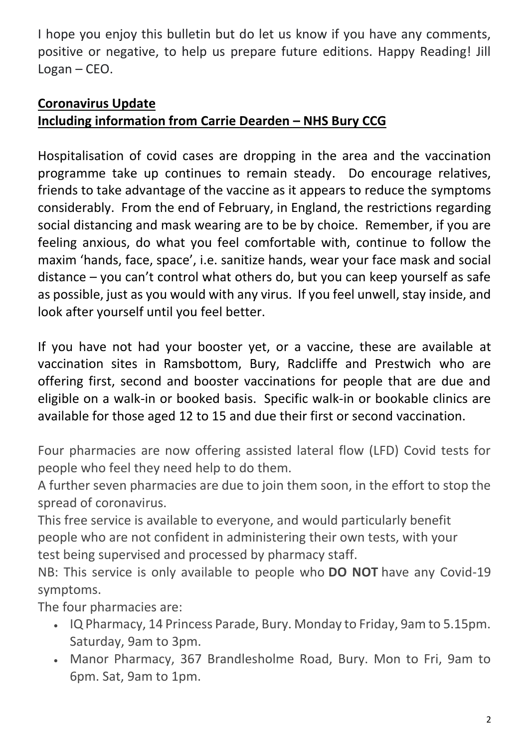I hope you enjoy this bulletin but do let us know if you have any comments, positive or negative, to help us prepare future editions. Happy Reading! Jill Logan – CEO.

### **Coronavirus Update**

# **Including information from Carrie Dearden – NHS Bury CCG**

Hospitalisation of covid cases are dropping in the area and the vaccination programme take up continues to remain steady. Do encourage relatives, friends to take advantage of the vaccine as it appears to reduce the symptoms considerably. From the end of February, in England, the restrictions regarding social distancing and mask wearing are to be by choice. Remember, if you are feeling anxious, do what you feel comfortable with, continue to follow the maxim 'hands, face, space', i.e. sanitize hands, wear your face mask and social distance – you can't control what others do, but you can keep yourself as safe as possible, just as you would with any virus. If you feel unwell, stay inside, and look after yourself until you feel better.

If you have not had your booster yet, or a vaccine, these are available at vaccination sites in Ramsbottom, Bury, Radcliffe and Prestwich who are offering first, second and booster vaccinations for people that are due and eligible on a walk-in or booked basis. Specific walk-in or bookable clinics are available for those aged 12 to 15 and due their first or second vaccination.

Four pharmacies are now offering assisted lateral flow (LFD) Covid tests for people who feel they need help to do them.

A further seven pharmacies are due to join them soon, in the effort to stop the spread of coronavirus.

This free service is available to everyone, and would particularly benefit people who are not confident in administering their own tests, with your test being supervised and processed by pharmacy staff.

NB: This service is only available to people who **DO NOT** have any Covid-19 symptoms.

The four pharmacies are:

- IQ Pharmacy, 14 Princess Parade, Bury. Monday to Friday, 9am to 5.15pm. Saturday, 9am to 3pm.
- Manor Pharmacy, 367 Brandlesholme Road, Bury. Mon to Fri, 9am to 6pm. Sat, 9am to 1pm.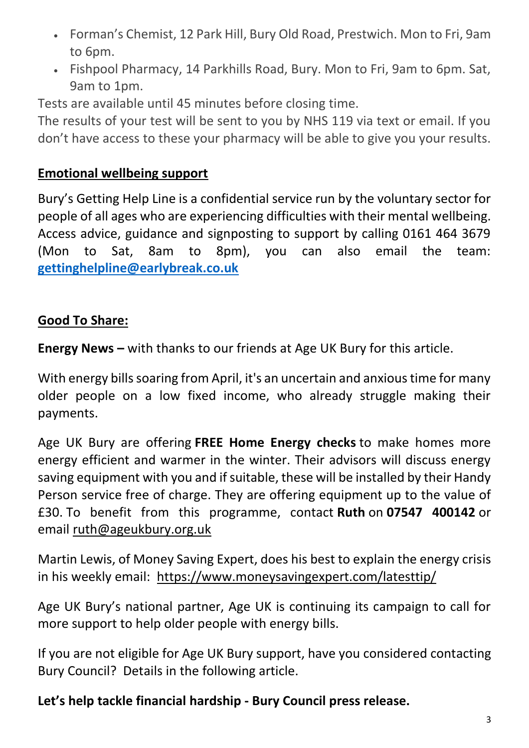- Forman's Chemist, 12 Park Hill, Bury Old Road, Prestwich. Mon to Fri, 9am to 6pm.
- Fishpool Pharmacy, 14 Parkhills Road, Bury. Mon to Fri, 9am to 6pm. Sat, 9am to 1pm.

Tests are available until 45 minutes before closing time.

The results of your test will be sent to you by NHS 119 via text or email. If you don't have access to these your pharmacy will be able to give you your results.

#### **Emotional wellbeing support**

Bury's Getting Help Line is a confidential service run by the voluntary sector for people of all ages who are experiencing difficulties with their mental wellbeing. Access advice, guidance and signposting to support by calling 0161 464 3679 (Mon to Sat, 8am to 8pm), you can also email the team: **[gettinghelpline@earlybreak.co.uk](mailto:gettinghelpline@earlybreak.co.uk)**

#### **Good To Share:**

**Energy News –** with thanks to our friends at Age UK Bury for this article.

With energy bills soaring from April, it's an uncertain and anxious time for many older people on a low fixed income, who already struggle making their payments.

Age UK Bury are offering **FREE Home Energy checks** to make homes more energy efficient and warmer in the winter. Their advisors will discuss energy saving equipment with you and if suitable, these will be installed by their Handy Person service free of charge. They are offering equipment up to the value of £30. To benefit from this programme, contact **Ruth** on **07547 400142** or email [ruth@ageukbury.org.uk](mailto:ruth@ageukbury.org.uk) 

Martin Lewis, of Money Saving Expert, does his best to explain the energy crisis in his weekly email: <https://www.moneysavingexpert.com/latesttip/>

Age UK Bury's national partner, Age UK is continuing its campaign to call for more support to help older people with energy bills.

If you are not eligible for Age UK Bury support, have you considered contacting Bury Council? Details in the following article.

#### **Let's help tackle financial hardship - Bury Council press release.**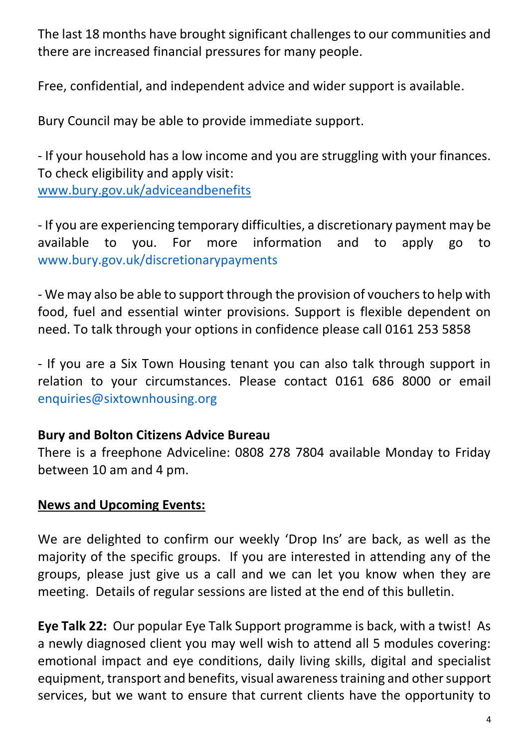The last 18 months have brought significant challenges to our communities and there are increased financial pressures for many people.

Free, confidential, and independent advice and wider support is available.

Bury Council may be able to provide immediate support.

- If your household has a low income and you are struggling with your finances. To check eligibility and apply visit: [www.bury.gov.uk/adviceandbenefits](http://www.bury.gov.uk/adviceandbenefits)

- If you are experiencing temporary difficulties, a discretionary payment may be available to you. For more information and to apply go to www.bury.gov.uk/discretionarypayments

- We may also be able to support through the provision of vouchers to help with food, fuel and essential winter provisions. Support is flexible dependent on need. To talk through your options in confidence please call 0161 253 5858

- If you are a Six Town Housing tenant you can also talk through support in relation to your circumstances. Please contact 0161 686 8000 or email enquiries@sixtownhousing.org

#### **Bury and Bolton Citizens Advice Bureau**

There is a freephone Adviceline: 0808 278 7804 available Monday to Friday between 10 am and 4 pm.

#### **News and Upcoming Events:**

We are delighted to confirm our weekly 'Drop Ins' are back, as well as the majority of the specific groups. If you are interested in attending any of the groups, please just give us a call and we can let you know when they are meeting. Details of regular sessions are listed at the end of this bulletin.

**Eye Talk 22:** Our popular Eye Talk Support programme is back, with a twist! As a newly diagnosed client you may well wish to attend all 5 modules covering: emotional impact and eye conditions, daily living skills, digital and specialist equipment, transport and benefits, visual awareness training and other support services, but we want to ensure that current clients have the opportunity to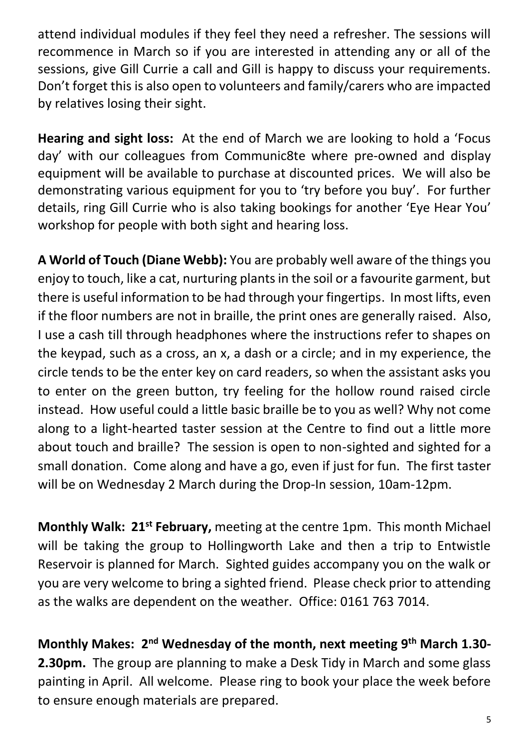attend individual modules if they feel they need a refresher. The sessions will recommence in March so if you are interested in attending any or all of the sessions, give Gill Currie a call and Gill is happy to discuss your requirements. Don't forget this is also open to volunteers and family/carers who are impacted by relatives losing their sight.

**Hearing and sight loss:** At the end of March we are looking to hold a 'Focus day' with our colleagues from Communic8te where pre-owned and display equipment will be available to purchase at discounted prices. We will also be demonstrating various equipment for you to 'try before you buy'. For further details, ring Gill Currie who is also taking bookings for another 'Eye Hear You' workshop for people with both sight and hearing loss.

**A World of Touch (Diane Webb):** You are probably well aware of the things you enjoy to touch, like a cat, nurturing plants in the soil or a favourite garment, but there is useful information to be had through your fingertips. In most lifts, even if the floor numbers are not in braille, the print ones are generally raised. Also, I use a cash till through headphones where the instructions refer to shapes on the keypad, such as a cross, an x, a dash or a circle; and in my experience, the circle tends to be the enter key on card readers, so when the assistant asks you to enter on the green button, try feeling for the hollow round raised circle instead. How useful could a little basic braille be to you as well? Why not come along to a light-hearted taster session at the Centre to find out a little more about touch and braille? The session is open to non-sighted and sighted for a small donation. Come along and have a go, even if just for fun. The first taster will be on Wednesday 2 March during the Drop-In session, 10am-12pm.

**Monthly Walk: 21st February,** meeting at the centre 1pm. This month Michael will be taking the group to Hollingworth Lake and then a trip to Entwistle Reservoir is planned for March. Sighted guides accompany you on the walk or you are very welcome to bring a sighted friend. Please check prior to attending as the walks are dependent on the weather. Office: 0161 763 7014.

**Monthly Makes: 2nd Wednesday of the month, next meeting 9th March 1.30- 2.30pm.** The group are planning to make a Desk Tidy in March and some glass painting in April. All welcome. Please ring to book your place the week before to ensure enough materials are prepared.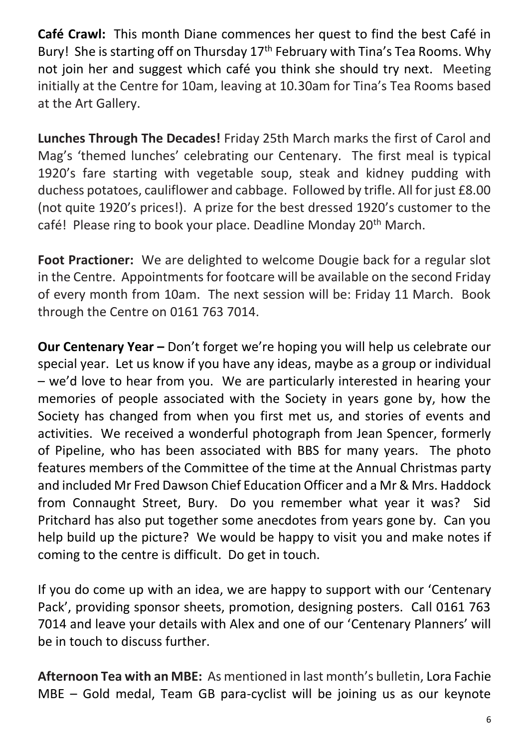**Café Crawl:** This month Diane commences her quest to find the best Café in Bury! She is starting off on Thursday 17<sup>th</sup> February with Tina's Tea Rooms. Why not join her and suggest which café you think she should try next. Meeting initially at the Centre for 10am, leaving at 10.30am for Tina's Tea Rooms based at the Art Gallery.

**Lunches Through The Decades!** Friday 25th March marks the first of Carol and Mag's 'themed lunches' celebrating our Centenary. The first meal is typical 1920's fare starting with vegetable soup, steak and kidney pudding with duchess potatoes, cauliflower and cabbage. Followed by trifle. All for just £8.00 (not quite 1920's prices!). A prize for the best dressed 1920's customer to the café! Please ring to book your place. Deadline Monday 20<sup>th</sup> March.

**Foot Practioner:** We are delighted to welcome Dougie back for a regular slot in the Centre. Appointments for footcare will be available on the second Friday of every month from 10am. The next session will be: Friday 11 March. Book through the Centre on 0161 763 7014.

**Our Centenary Year –** Don't forget we're hoping you will help us celebrate our special year. Let us know if you have any ideas, maybe as a group or individual – we'd love to hear from you. We are particularly interested in hearing your memories of people associated with the Society in years gone by, how the Society has changed from when you first met us, and stories of events and activities. We received a wonderful photograph from Jean Spencer, formerly of Pipeline, who has been associated with BBS for many years. The photo features members of the Committee of the time at the Annual Christmas party and included Mr Fred Dawson Chief Education Officer and a Mr & Mrs. Haddock from Connaught Street, Bury. Do you remember what year it was? Sid Pritchard has also put together some anecdotes from years gone by. Can you help build up the picture? We would be happy to visit you and make notes if coming to the centre is difficult. Do get in touch.

If you do come up with an idea, we are happy to support with our 'Centenary Pack', providing sponsor sheets, promotion, designing posters. Call 0161 763 7014 and leave your details with Alex and one of our 'Centenary Planners' will be in touch to discuss further.

**Afternoon Tea with an MBE:** As mentioned in last month's bulletin, Lora Fachie MBE – Gold medal, Team GB para-cyclist will be joining us as our keynote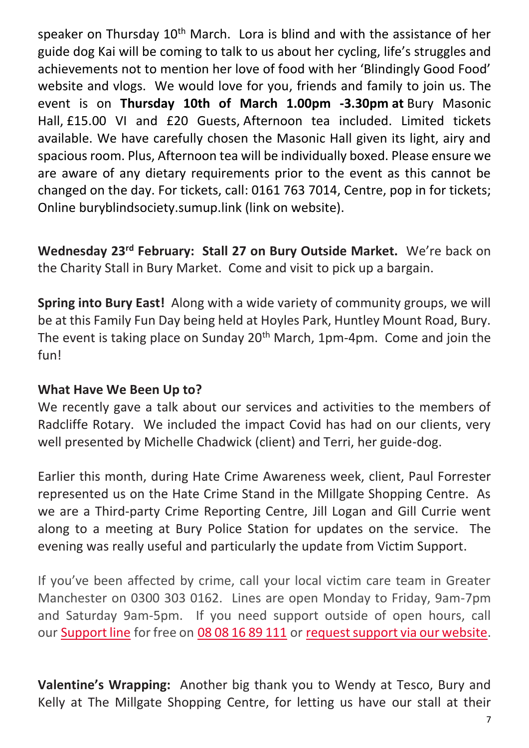speaker on Thursday 10<sup>th</sup> March. Lora is blind and with the assistance of her guide dog Kai will be coming to talk to us about her cycling, life's struggles and achievements not to mention her love of food with her 'Blindingly Good Food' website and vlogs. We would love for you, friends and family to join us. The event is on **Thursday 10th of March 1.00pm -3.30pm at** Bury Masonic Hall, £15.00 VI and £20 Guests, Afternoon tea included. Limited tickets available. We have carefully chosen the Masonic Hall given its light, airy and spacious room. Plus, Afternoon tea will be individually boxed. Please ensure we are aware of any dietary requirements prior to the event as this cannot be changed on the day. For tickets, call: 0161 763 7014, Centre, pop in for tickets; Online buryblindsociety.sumup.link (link on website).

**Wednesday 23rd February: Stall 27 on Bury Outside Market.** We're back on the Charity Stall in Bury Market. Come and visit to pick up a bargain.

**Spring into Bury East!** Along with a wide variety of community groups, we will be at this Family Fun Day being held at Hoyles Park, Huntley Mount Road, Bury. The event is taking place on Sunday 20<sup>th</sup> March, 1pm-4pm. Come and join the fun!

#### **What Have We Been Up to?**

We recently gave a talk about our services and activities to the members of Radcliffe Rotary. We included the impact Covid has had on our clients, very well presented by Michelle Chadwick (client) and Terri, her guide-dog.

Earlier this month, during Hate Crime Awareness week, client, Paul Forrester represented us on the Hate Crime Stand in the Millgate Shopping Centre. As we are a Third-party Crime Reporting Centre, Jill Logan and Gill Currie went along to a meeting at Bury Police Station for updates on the service. The evening was really useful and particularly the update from Victim Support.

If you've been affected by crime, call your local victim care team in Greater Manchester on 0300 303 0162. Lines are open Monday to Friday, 9am-7pm and Saturday 9am-5pm. If you need support outside of open hours, call our [Support line](https://www.victimsupport.org.uk/help-and-support/get-help/supportline) for free on [08 08 16 89 111](tel:08%2008%2016%2089%20111) or [request support via our website.](https://www.victimsupport.org.uk/help-and-support/get-help/request-support)

**Valentine's Wrapping:** Another big thank you to Wendy at Tesco, Bury and Kelly at The Millgate Shopping Centre, for letting us have our stall at their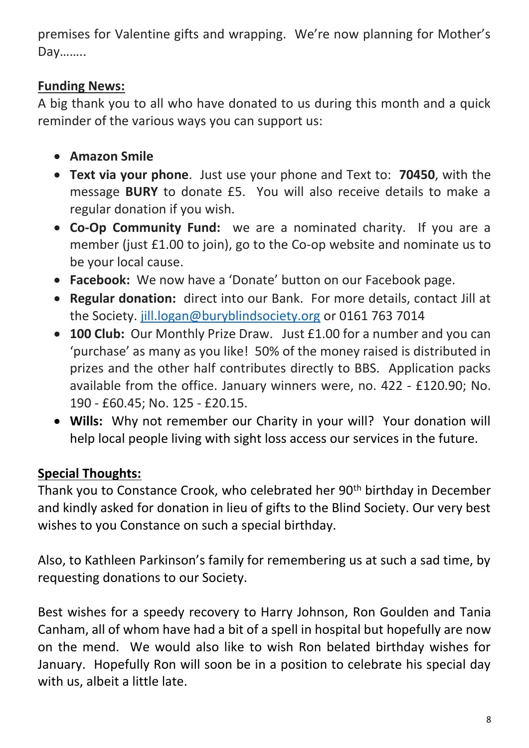premises for Valentine gifts and wrapping. We're now planning for Mother's Day……..

#### **Funding News:**

A big thank you to all who have donated to us during this month and a quick reminder of the various ways you can support us:

- **Amazon Smile**
- **Text via your phone**. Just use your phone and Text to: **70450**, with the message **BURY** to donate £5. You will also receive details to make a regular donation if you wish.
- **Co-Op Community Fund:** we are a nominated charity. If you are a member (just £1.00 to join), go to the Co-op website and nominate us to be your local cause.
- **Facebook:** We now have a 'Donate' button on our Facebook page.
- **Regular donation:** direct into our Bank. For more details, contact Jill at the Society. [jill.logan@buryblindsociety.org](mailto:jill.logan@buryblindsociety.org) or 0161 763 7014
- **100 Club:** Our Monthly Prize Draw. Just £1.00 for a number and you can 'purchase' as many as you like! 50% of the money raised is distributed in prizes and the other half contributes directly to BBS. Application packs available from the office. January winners were, no. 422 - £120.90; No. 190 - £60.45; No. 125 - £20.15.
- **Wills:** Why not remember our Charity in your will? Your donation will help local people living with sight loss access our services in the future.

# **Special Thoughts:**

Thank you to Constance Crook, who celebrated her 90<sup>th</sup> birthday in December and kindly asked for donation in lieu of gifts to the Blind Society. Our very best wishes to you Constance on such a special birthday.

Also, to Kathleen Parkinson's family for remembering us at such a sad time, by requesting donations to our Society.

Best wishes for a speedy recovery to Harry Johnson, Ron Goulden and Tania Canham, all of whom have had a bit of a spell in hospital but hopefully are now on the mend. We would also like to wish Ron belated birthday wishes for January. Hopefully Ron will soon be in a position to celebrate his special day with us, albeit a little late.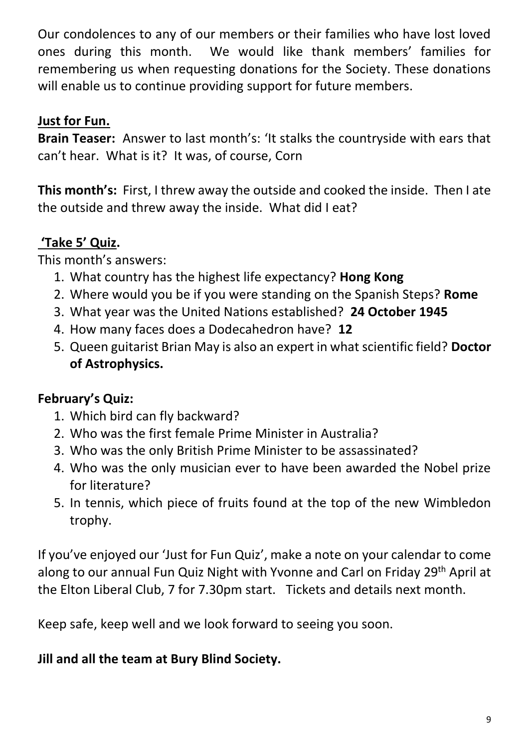Our condolences to any of our members or their families who have lost loved ones during this month. We would like thank members' families for remembering us when requesting donations for the Society. These donations will enable us to continue providing support for future members.

#### **Just for Fun.**

**Brain Teaser:** Answer to last month's: 'It stalks the countryside with ears that can't hear. What is it? It was, of course, Corn

**This month's:** First, I threw away the outside and cooked the inside. Then I ate the outside and threw away the inside. What did I eat?

# **'Take 5' Quiz.**

This month's answers:

- 1. What country has the highest life expectancy? **Hong Kong**
- 2. Where would you be if you were standing on the Spanish Steps? **Rome**
- 3. What year was the United Nations established? **24 October 1945**
- 4. How many faces does a Dodecahedron have? **12**
- 5. Queen guitarist Brian May is also an expert in what scientific field? **Doctor of Astrophysics.**

# **February's Quiz:**

- 1. Which bird can fly backward?
- 2. Who was the first female Prime Minister in Australia?
- 3. Who was the only British Prime Minister to be assassinated?
- 4. Who was the only musician ever to have been awarded the Nobel prize for literature?
- 5. In tennis, which piece of fruits found at the top of the new Wimbledon trophy.

If you've enjoyed our 'Just for Fun Quiz', make a note on your calendar to come along to our annual Fun Quiz Night with Yvonne and Carl on Friday 29<sup>th</sup> April at the Elton Liberal Club, 7 for 7.30pm start. Tickets and details next month.

Keep safe, keep well and we look forward to seeing you soon.

#### **Jill and all the team at Bury Blind Society.**